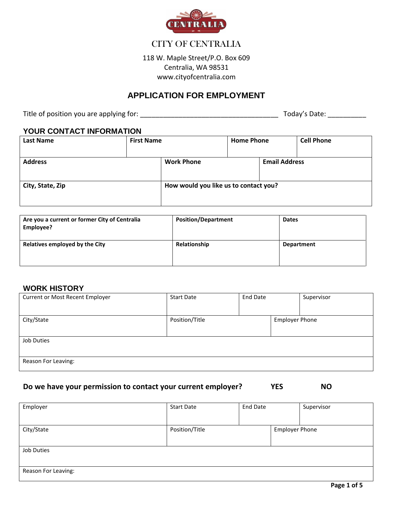

# CITY OF CENTRALIA

118 W. Maple Street/P.O. Box 609 Centralia, WA 98531 www.cityofcentralia.com

# **APPLICATION FOR EMPLOYMENT**

Title of position you are applying for: \_\_\_\_\_\_\_\_\_\_\_\_\_\_\_\_\_\_\_\_\_\_\_\_\_\_\_\_\_\_\_\_\_\_\_\_ Today's Date: \_\_\_\_\_\_\_\_\_\_

#### **YOUR CONTACT INFORMATION**

| <b>Last Name</b> | <b>First Name</b> |                                           | <b>Home Phone</b> |  | <b>Cell Phone</b> |
|------------------|-------------------|-------------------------------------------|-------------------|--|-------------------|
| <b>Address</b>   |                   | <b>Work Phone</b><br><b>Email Address</b> |                   |  |                   |
| City, State, Zip |                   | How would you like us to contact you?     |                   |  |                   |

| Are you a current or former City of Centralia<br>Employee? | <b>Position/Department</b> | <b>Dates</b>      |
|------------------------------------------------------------|----------------------------|-------------------|
| Relatives employed by the City                             | Relationship               | <b>Department</b> |

#### **WORK HISTORY**

| <b>Current or Most Recent Employer</b> | <b>Start Date</b> | <b>End Date</b> |                       | Supervisor |
|----------------------------------------|-------------------|-----------------|-----------------------|------------|
|                                        |                   |                 |                       |            |
| City/State                             | Position/Title    |                 | <b>Employer Phone</b> |            |
|                                        |                   |                 |                       |            |
| Job Duties                             |                   |                 |                       |            |
|                                        |                   |                 |                       |            |
| Reason For Leaving:                    |                   |                 |                       |            |
|                                        |                   |                 |                       |            |

#### **Do we have your permission to contact your current employer? YES NO**

| Employer            | <b>Start Date</b> | <b>End Date</b> |                       | Supervisor |
|---------------------|-------------------|-----------------|-----------------------|------------|
|                     |                   |                 |                       |            |
| City/State          | Position/Title    |                 | <b>Employer Phone</b> |            |
|                     |                   |                 |                       |            |
| Job Duties          |                   |                 |                       |            |
|                     |                   |                 |                       |            |
| Reason For Leaving: |                   |                 |                       |            |
|                     |                   |                 |                       |            |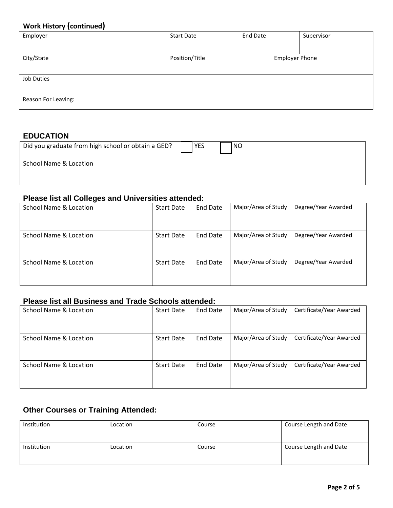# **Work History (continued)**

| . .<br>Employer     | <b>Start Date</b> | <b>End Date</b> |                       | Supervisor |
|---------------------|-------------------|-----------------|-----------------------|------------|
|                     |                   |                 |                       |            |
| City/State          | Position/Title    |                 | <b>Employer Phone</b> |            |
|                     |                   |                 |                       |            |
|                     |                   |                 |                       |            |
| Job Duties          |                   |                 |                       |            |
|                     |                   |                 |                       |            |
|                     |                   |                 |                       |            |
| Reason For Leaving: |                   |                 |                       |            |
|                     |                   |                 |                       |            |

### **EDUCATION**

| Did you graduate from high school or obtain a GED? | <b>YES</b> | <b>NO</b> |  |
|----------------------------------------------------|------------|-----------|--|
| School Name & Location                             |            |           |  |
|                                                    |            |           |  |

# **Please list all Colleges and Universities attended:**

| School Name & Location | <b>Start Date</b> | End Date | Major/Area of Study | Degree/Year Awarded |
|------------------------|-------------------|----------|---------------------|---------------------|
| School Name & Location | <b>Start Date</b> | End Date | Major/Area of Study | Degree/Year Awarded |
| School Name & Location | <b>Start Date</b> | End Date | Major/Area of Study | Degree/Year Awarded |

# **Please list all Business and Trade Schools attended:**

| School Name & Location | <b>Start Date</b> | <b>End Date</b> | Major/Area of Study | Certificate/Year Awarded |
|------------------------|-------------------|-----------------|---------------------|--------------------------|
| School Name & Location | <b>Start Date</b> | <b>End Date</b> | Major/Area of Study | Certificate/Year Awarded |
| School Name & Location | <b>Start Date</b> | End Date        | Major/Area of Study | Certificate/Year Awarded |

# **Other Courses or Training Attended:**

| Institution | Location | Course | Course Length and Date |
|-------------|----------|--------|------------------------|
| Institution | Location | Course | Course Length and Date |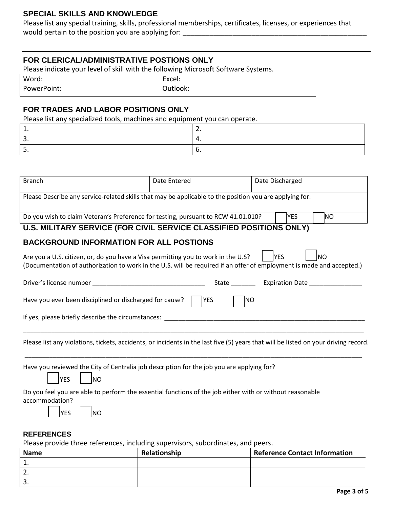### **SPECIAL SKILLS AND KNOWLEDGE**

Please list any special training, skills, professional memberships, certificates, licenses, or experiences that would pertain to the position you are applying for:

#### **FOR CLERICAL/ADMINISTRATIVE POSTIONS ONLY**

Please indicate your level of skill with the following Microsoft Software Systems.

| Word:       | Excel:   |
|-------------|----------|
| PowerPoint: | Outlook: |

#### **FOR TRADES AND LABOR POSITIONS ONLY**

Please list any specialized tools, machines and equipment you can operate.

| <b>Branch</b>                                                                                                                                                                                              | Date Entered | Date Discharged           |  |  |  |  |  |
|------------------------------------------------------------------------------------------------------------------------------------------------------------------------------------------------------------|--------------|---------------------------|--|--|--|--|--|
| Please Describe any service-related skills that may be applicable to the position you are applying for:                                                                                                    |              |                           |  |  |  |  |  |
| Do you wish to claim Veteran's Preference for testing, pursuant to RCW 41.01.010?                                                                                                                          |              | <b>NO</b><br><b>YES</b>   |  |  |  |  |  |
| U.S. MILITARY SERVICE (FOR CIVIL SERVICE CLASSIFIED POSITIONS ONLY)                                                                                                                                        |              |                           |  |  |  |  |  |
| <b>BACKGROUND INFORMATION FOR ALL POSTIONS</b>                                                                                                                                                             |              |                           |  |  |  |  |  |
| Are you a U.S. citizen, or, do you have a Visa permitting you to work in the U.S?<br>(Documentation of authorization to work in the U.S. will be required if an offer of employment is made and accepted.) |              | <b>YES</b><br><b>I</b> NO |  |  |  |  |  |
|                                                                                                                                                                                                            |              |                           |  |  |  |  |  |
| Have you ever been disciplined or discharged for cause? $\vert$  YES                                                                                                                                       | <b>NO</b>    |                           |  |  |  |  |  |
| If yes, please briefly describe the circumstances:                                                                                                                                                         |              |                           |  |  |  |  |  |
| Please list any violations, tickets, accidents, or incidents in the last five (5) years that will be listed on your driving record.                                                                        |              |                           |  |  |  |  |  |
| Have you reviewed the City of Centralia job description for the job you are applying for?<br><b>NO</b><br><b>YES</b>                                                                                       |              |                           |  |  |  |  |  |
| Do you feel you are able to perform the essential functions of the job either with or without reasonable<br>accommodation?<br><b>YES</b><br><b>NO</b>                                                      |              |                           |  |  |  |  |  |
| <b>REFERENCES</b>                                                                                                                                                                                          |              |                           |  |  |  |  |  |
| Please provide three references, including supervisors, subordinates, and peers.                                                                                                                           |              |                           |  |  |  |  |  |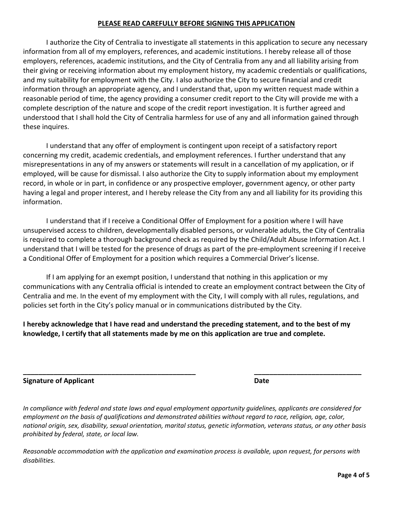#### **PLEASE READ CAREFULLY BEFORE SIGNING THIS APPLICATION**

 I authorize the City of Centralia to investigate all statements in this application to secure any necessary information from all of my employers, references, and academic institutions. I hereby release all of those employers, references, academic institutions, and the City of Centralia from any and all liability arising from their giving or receiving information about my employment history, my academic credentials or qualifications, and my suitability for employment with the City. I also authorize the City to secure financial and credit information through an appropriate agency, and I understand that, upon my written request made within a reasonable period of time, the agency providing a consumer credit report to the City will provide me with a complete description of the nature and scope of the credit report investigation. It is further agreed and understood that I shall hold the City of Centralia harmless for use of any and all information gained through these inquires.

 I understand that any offer of employment is contingent upon receipt of a satisfactory report concerning my credit, academic credentials, and employment references. I further understand that any misrepresentations in any of my answers or statements will result in a cancellation of my application, or if employed, will be cause for dismissal. I also authorize the City to supply information about my employment record, in whole or in part, in confidence or any prospective employer, government agency, or other party having a legal and proper interest, and I hereby release the City from any and all liability for its providing this information.

 I understand that if I receive a Conditional Offer of Employment for a position where I will have unsupervised access to children, developmentally disabled persons, or vulnerable adults, the City of Centralia is required to complete a thorough background check as required by the Child/Adult Abuse Information Act. I understand that I will be tested for the presence of drugs as part of the pre-employment screening if I receive a Conditional Offer of Employment for a position which requires a Commercial Driver's license.

 If I am applying for an exempt position, I understand that nothing in this application or my communications with any Centralia official is intended to create an employment contract between the City of Centralia and me. In the event of my employment with the City, I will comply with all rules, regulations, and policies set forth in the City's policy manual or in communications distributed by the City.

**I hereby acknowledge that I have read and understand the preceding statement, and to the best of my knowledge, I certify that all statements made by me on this application are true and complete.** 

| <b>Signature of Applicant</b> | Date |
|-------------------------------|------|
|                               |      |

*In compliance with federal and state laws and equal employment opportunity guidelines, applicants are considered for employment on the basis of qualifications and demonstrated abilities without regard to race, religion, age, color, national origin, sex, disability, sexual orientation, marital status, genetic information, veterans status, or any other basis prohibited by federal, state, or local law.* 

**\_\_\_\_\_\_\_\_\_\_\_\_\_\_\_\_\_\_\_\_\_\_\_\_\_\_\_\_\_\_\_\_\_\_\_\_\_\_\_\_\_\_\_\_\_ \_\_\_\_\_\_\_\_\_\_\_\_\_\_\_\_\_\_\_\_\_\_\_\_\_\_\_\_** 

*Reasonable accommodation with the application and examination process is available, upon request, for persons with disabilities.*